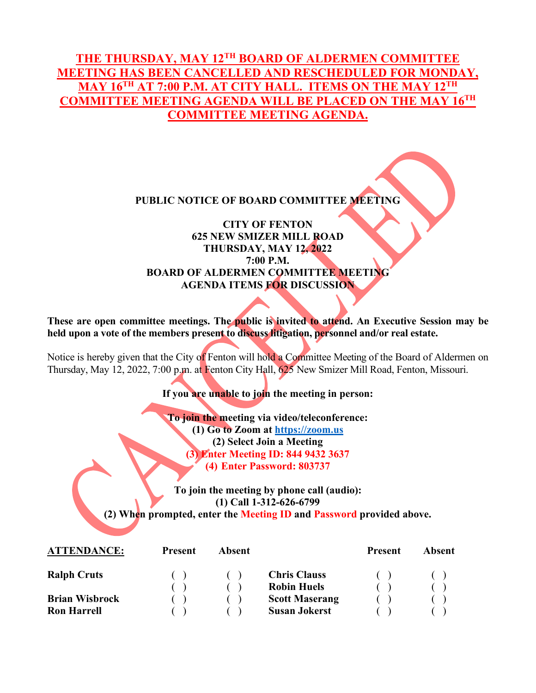# **THE THURSDAY, MAY 12TH BOARD OF ALDERMEN COMMITTEE MEETING HAS BEEN CANCELLED AND RESCHEDULED FOR MONDAY, MAY 16TH AT 7:00 P.M. AT CITY HALL. ITEMS ON THE MAY 12TH COMMITTEE MEETING AGENDA WILL BE PLACED ON THE MAY 16TH COMMITTEE MEETING AGENDA.**

#### **PUBLIC NOTICE OF BOARD COMMITTEE MEETING**

## **CITY OF FENTON 625 NEW SMIZER MILL ROAD THURSDAY, MAY 12, 2022 7:00 P.M. BOARD OF ALDERMEN COMMITTEE MEETING AGENDA ITEMS FOR DISCUSSION**

**These are open committee meetings. The public is invited to attend. An Executive Session may be held upon a vote of the members present to discuss litigation, personnel and/or real estate.**

Notice is hereby given that the City of Fenton will hold a Committee Meeting of the Board of Aldermen on Thursday, May 12, 2022, 7:00 p.m. at Fenton City Hall, 625 New Smizer Mill Road, Fenton, Missouri.

**If you are unable to join the meeting in person:**

**To join the meeting via video/teleconference: (1) Go to Zoom at [https://zoom.us](https://zoom.us/) (2) Select Join a Meeting (3) Enter Meeting ID: 844 9432 3637 (4) Enter Password: 803737**

**To join the meeting by phone call (audio): (1) Call 1-312-626-6799 (2) When prompted, enter the Meeting ID and Password provided above.** 

| <b>ATTENDANCE:</b>    | <b>Present</b> | Absent |                       | <b>Present</b> | Absent |
|-----------------------|----------------|--------|-----------------------|----------------|--------|
| <b>Ralph Cruts</b>    |                |        | <b>Chris Clauss</b>   |                |        |
|                       |                |        | <b>Robin Huels</b>    |                |        |
| <b>Brian Wisbrock</b> |                |        | <b>Scott Maserang</b> |                |        |
| <b>Ron Harrell</b>    |                |        | <b>Susan Jokerst</b>  |                |        |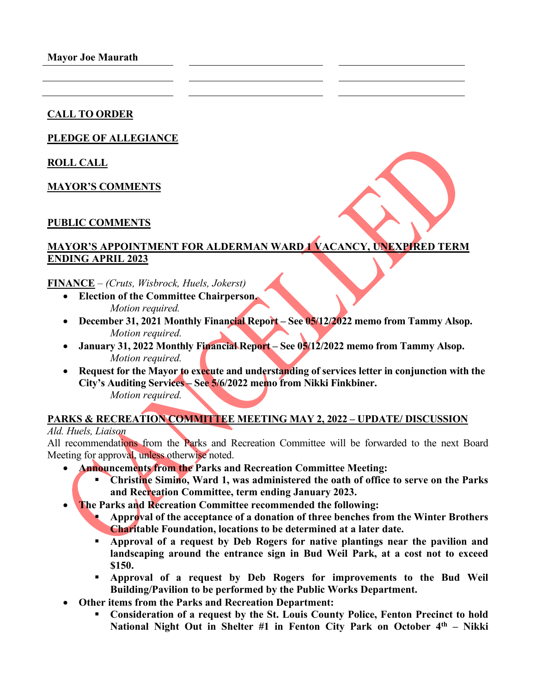**Mayor Joe Maurath**

#### **CALL TO ORDER**

### **PLEDGE OF ALLEGIANCE**

**ROLL CALL**

**MAYOR'S COMMENTS** 

#### **PUBLIC COMMENTS**

# **MAYOR'S APPOINTMENT FOR ALDERMAN WARD 1 VACANCY, UNEXPIRED TERM ENDING APRIL 2023**

**FINANCE** – *(Cruts, Wisbrock, Huels, Jokerst)*

- **Election of the Committee Chairperson.**  *Motion required.*
- **December 31, 2021 Monthly Financial Report See 05/12/2022 memo from Tammy Alsop.**  *Motion required.*
- **January 31, 2022 Monthly Financial Report See 05/12/2022 memo from Tammy Alsop.**  *Motion required.*
- **Request for the Mayor to execute and understanding of services letter in conjunction with the City's Auditing Services – See 5/6/2022 memo from Nikki Finkbiner.**  *Motion required.*

#### **PARKS & RECREATION COMMITTEE MEETING MAY 2, 2022 – UPDATE/ DISCUSSION** *Ald. Huels, Liaison*

All recommendations from the Parks and Recreation Committee will be forwarded to the next Board Meeting for approval, unless otherwise noted.

- **Announcements from the Parks and Recreation Committee Meeting:**
	- **Christine Simino, Ward 1, was administered the oath of office to serve on the Parks and Recreation Committee, term ending January 2023.**
- **The Parks and Recreation Committee recommended the following:** 
	- **Approval of the acceptance of a donation of three benches from the Winter Brothers Charitable Foundation, locations to be determined at a later date.**
	- **Approval of a request by Deb Rogers for native plantings near the pavilion and landscaping around the entrance sign in Bud Weil Park, at a cost not to exceed \$150.**
	- **Approval of a request by Deb Rogers for improvements to the Bud Weil Building/Pavilion to be performed by the Public Works Department.**
- **Other items from the Parks and Recreation Department:**
	- **Consideration of a request by the St. Louis County Police, Fenton Precinct to hold National Night Out in Shelter #1 in Fenton City Park on October 4th – Nikki**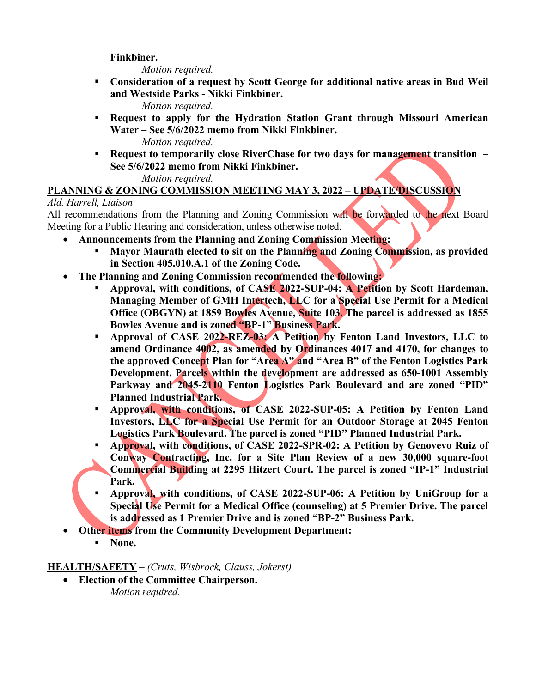### **Finkbiner.**

*Motion required.*

 **Consideration of a request by Scott George for additional native areas in Bud Weil and Westside Parks - Nikki Finkbiner.** 

*Motion required.*

 **Request to apply for the Hydration Station Grant through Missouri American Water – See 5/6/2022 memo from Nikki Finkbiner.** 

*Motion required.*  **Request to temporarily close RiverChase for two days for management transition – See 5/6/2022 memo from Nikki Finkbiner.** 

*Motion required.*

# **PLANNING & ZONING COMMISSION MEETING MAY 3, 2022 – UPDATE/DISCUSSION**

# *Ald. Harrell, Liaison*

All recommendations from the Planning and Zoning Commission will be forwarded to the next Board Meeting for a Public Hearing and consideration, unless otherwise noted.

- **Announcements from the Planning and Zoning Commission Meeting:**
	- **Mayor Maurath elected to sit on the Planning and Zoning Commission, as provided in Section 405.010.A.1 of the Zoning Code.**
- **The Planning and Zoning Commission recommended the following:** 
	- **Approval, with conditions, of CASE 2022-SUP-04: A Petition by Scott Hardeman, Managing Member of GMH Intertech, LLC for a Special Use Permit for a Medical Office (OBGYN) at 1859 Bowles Avenue, Suite 103. The parcel is addressed as 1855 Bowles Avenue and is zoned "BP-1" Business Park.**
	- **Approval of CASE 2022-REZ-03: A Petition by Fenton Land Investors, LLC to amend Ordinance 4002, as amended by Ordinances 4017 and 4170, for changes to the approved Concept Plan for "Area A" and "Area B" of the Fenton Logistics Park Development. Parcels within the development are addressed as 650-1001 Assembly Parkway and 2045-2110 Fenton Logistics Park Boulevard and are zoned "PID" Planned Industrial Park.**
	- **Approval, with conditions, of CASE 2022-SUP-05: A Petition by Fenton Land Investors, LLC for a Special Use Permit for an Outdoor Storage at 2045 Fenton Logistics Park Boulevard. The parcel is zoned "PID" Planned Industrial Park.**
	- **Approval, with conditions, of CASE 2022-SPR-02: A Petition by Genovevo Ruiz of Conway Contracting, Inc. for a Site Plan Review of a new 30,000 square-foot Commercial Building at 2295 Hitzert Court. The parcel is zoned "IP-1" Industrial Park.**
	- **Approval, with conditions, of CASE 2022-SUP-06: A Petition by UniGroup for a Special Use Permit for a Medical Office (counseling) at 5 Premier Drive. The parcel is addressed as 1 Premier Drive and is zoned "BP-2" Business Park.**
- **Other items from the Community Development Department:** 
	- **None.**

**HEALTH/SAFETY** – *(Cruts, Wisbrock, Clauss, Jokerst)*

• **Election of the Committee Chairperson.**  *Motion required.*